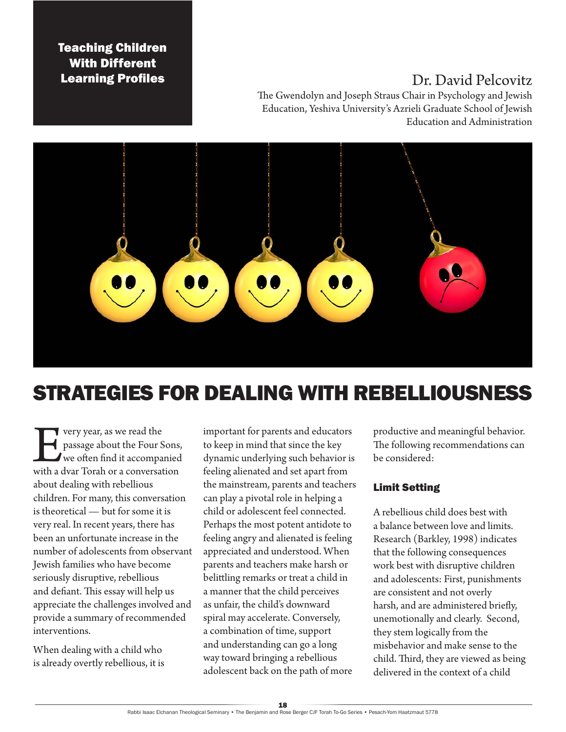Teaching Children With Different

# **Learning Profiles Learning Profiles**

The Gwendolyn and Joseph Straus Chair in Psychology and Jewish Education, Yeshiva University's Azrieli Graduate School of Jewish Education and Administration



# STRATEGIES FOR DEALING WITH REBELLIOUSNESS

very year, as we read the<br>passage about the Four S<br>we often find it accompa<br>with a dvar Torah or a conversat passage about the Four Sons, we often find it accompanied with a dvar Torah or a conversation about dealing with rebellious children. For many, this conversation is theoretical — but for some it is very real. In recent years, there has been an unfortunate increase in the number of adolescents from observant Jewish families who have become seriously disruptive, rebellious and defiant. This essay will help us appreciate the challenges involved and provide a summary of recommended interventions.

When dealing with a child who is already overtly rebellious, it is important for parents and educators to keep in mind that since the key dynamic underlying such behavior is feeling alienated and set apart from the mainstream, parents and teachers can play a pivotal role in helping a child or adolescent feel connected. Perhaps the most potent antidote to feeling angry and alienated is feeling appreciated and understood. When parents and teachers make harsh or belittling remarks or treat a child in a manner that the child perceives as unfair, the child's downward spiral may accelerate. Conversely, a combination of time, support and understanding can go a long way toward bringing a rebellious adolescent back on the path of more

productive and meaningful behavior. The following recommendations can be considered:

## Limit Setting

A rebellious child does best with a balance between love and limits. Research (Barkley, 1998) indicates that the following consequences work best with disruptive children and adolescents: First, punishments are consistent and not overly harsh, and are administered briefly, unemotionally and clearly. Second, they stem logically from the misbehavior and make sense to the child. Third, they are viewed as being delivered in the context of a child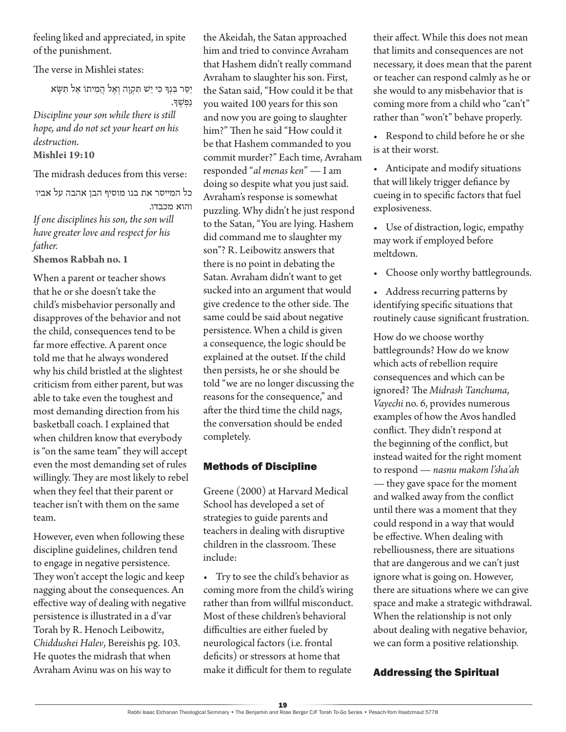feeling liked and appreciated, in spite of the punishment.

The verse in Mishlei states:

יַסֵ ר בִ נְ ָך כִ י יֵ ׁש תִ קְ וָ ה וְ אֶ ל הֲ מִ יתֹו אַ ל תִ שָ א נַפְ שֶ ָך.

*Discipline your son while there is still hope, and do not set your heart on his destruction.* **Mishlei 19:10**

The midrash deduces from this verse:

כל המייסר את בנו מוסיף הבן אהבה על אביו והוא מכבדו. *If one disciplines his son, the son will* 

*have greater love and respect for his father.* **Shemos Rabbah no. 1**

When a parent or teacher shows

that he or she doesn't take the child's misbehavior personally and disapproves of the behavior and not the child, consequences tend to be far more effective. A parent once told me that he always wondered why his child bristled at the slightest criticism from either parent, but was able to take even the toughest and most demanding direction from his basketball coach. I explained that when children know that everybody is "on the same team" they will accept even the most demanding set of rules willingly. They are most likely to rebel when they feel that their parent or teacher isn't with them on the same team.

However, even when following these discipline guidelines, children tend to engage in negative persistence. They won't accept the logic and keep nagging about the consequences. An effective way of dealing with negative persistence is illustrated in a d'var Torah by R. Henoch Leibowitz, *Chiddushei Halev*, Bereishis pg. 103. He quotes the midrash that when Avraham Avinu was on his way to

the Akeidah, the Satan approached him and tried to convince Avraham that Hashem didn't really command Avraham to slaughter his son. First, the Satan said, "How could it be that you waited 100 years for this son and now you are going to slaughter him?" Then he said "How could it be that Hashem commanded to you commit murder?" Each time, Avraham responded "*al menas ken*" — I am doing so despite what you just said. Avraham's response is somewhat puzzling. Why didn't he just respond to the Satan, "You are lying. Hashem did command me to slaughter my son"? R. Leibowitz answers that there is no point in debating the Satan. Avraham didn't want to get sucked into an argument that would give credence to the other side. The same could be said about negative persistence. When a child is given a consequence, the logic should be explained at the outset. If the child then persists, he or she should be told "we are no longer discussing the reasons for the consequence," and after the third time the child nags, the conversation should be ended completely.

#### Methods of Discipline

Greene (2000) at Harvard Medical School has developed a set of strategies to guide parents and teachers in dealing with disruptive children in the classroom. These include:

• Try to see the child's behavior as coming more from the child's wiring rather than from willful misconduct. Most of these children's behavioral difficulties are either fueled by neurological factors (i.e. frontal deficits) or stressors at home that make it difficult for them to regulate

their affect. While this does not mean that limits and consequences are not necessary, it does mean that the parent or teacher can respond calmly as he or she would to any misbehavior that is coming more from a child who "can't" rather than "won't" behave properly.

• Respond to child before he or she is at their worst.

• Anticipate and modify situations that will likely trigger defiance by cueing in to specific factors that fuel explosiveness.

• Use of distraction, logic, empathy may work if employed before meltdown.

• Choose only worthy battlegrounds.

• Address recurring patterns by identifying specific situations that routinely cause significant frustration.

How do we choose worthy battlegrounds? How do we know which acts of rebellion require consequences and which can be ignored? The *Midrash Tanchuma*, *Vayechi* no. 6, provides numerous examples of how the Avos handled conflict. They didn't respond at the beginning of the conflict, but instead waited for the right moment to respond — *nasnu makom l'sha'ah* — they gave space for the moment and walked away from the conflict until there was a moment that they could respond in a way that would be effective. When dealing with rebelliousness, there are situations that are dangerous and we can't just ignore what is going on. However, there are situations where we can give space and make a strategic withdrawal. When the relationship is not only about dealing with negative behavior, we can form a positive relationship.

## Addressing the Spiritual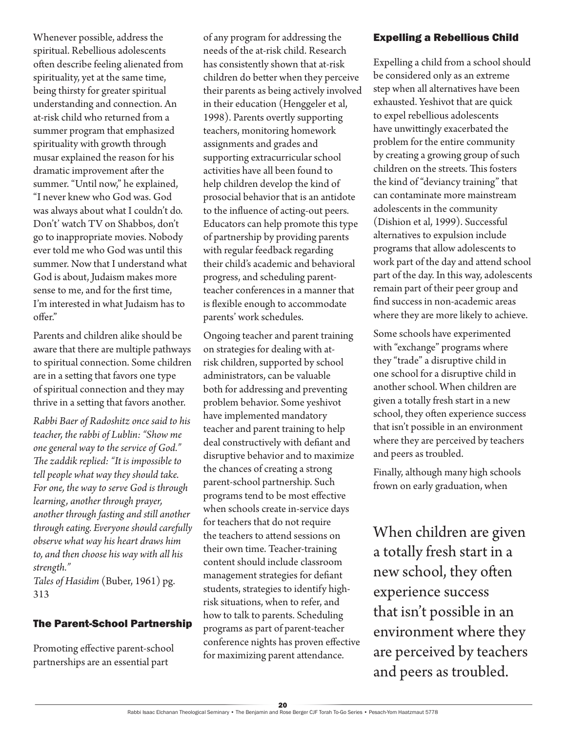Whenever possible, address the spiritual. Rebellious adolescents often describe feeling alienated from spirituality, yet at the same time, being thirsty for greater spiritual understanding and connection. An at-risk child who returned from a summer program that emphasized spirituality with growth through musar explained the reason for his dramatic improvement after the summer. "Until now," he explained, "I never knew who God was. God was always about what I couldn't do. Don't' watch TV on Shabbos, don't go to inappropriate movies. Nobody ever told me who God was until this summer. Now that I understand what God is about, Judaism makes more sense to me, and for the first time, I'm interested in what Judaism has to offer."

Parents and children alike should be aware that there are multiple pathways to spiritual connection. Some children are in a setting that favors one type of spiritual connection and they may thrive in a setting that favors another.

*Rabbi Baer of Radoshitz once said to his teacher, the rabbi of Lublin: "Show me one general way to the service of God." The zaddik replied: "It is impossible to tell people what way they should take. For one, the way to serve God is through learning, another through prayer, another through fasting and still another through eating. Everyone should carefully observe what way his heart draws him to, and then choose his way with all his strength."*

*Tales of Hasidim* (Buber, 1961) pg. 313

#### The Parent-School Partnership

Promoting effective parent-school partnerships are an essential part

of any program for addressing the needs of the at-risk child. Research has consistently shown that at-risk children do better when they perceive their parents as being actively involved in their education (Henggeler et al, 1998). Parents overtly supporting teachers, monitoring homework assignments and grades and supporting extracurricular school activities have all been found to help children develop the kind of prosocial behavior that is an antidote to the influence of acting-out peers. Educators can help promote this type of partnership by providing parents with regular feedback regarding their child's academic and behavioral progress, and scheduling parentteacher conferences in a manner that is flexible enough to accommodate parents' work schedules.

Ongoing teacher and parent training on strategies for dealing with atrisk children, supported by school administrators, can be valuable both for addressing and preventing problem behavior. Some yeshivot have implemented mandatory teacher and parent training to help deal constructively with defiant and disruptive behavior and to maximize the chances of creating a strong parent-school partnership. Such programs tend to be most effective when schools create in-service days for teachers that do not require the teachers to attend sessions on their own time. Teacher-training content should include classroom management strategies for defiant students, strategies to identify highrisk situations, when to refer, and how to talk to parents. Scheduling programs as part of parent-teacher conference nights has proven effective for maximizing parent attendance.

#### Expelling a Rebellious Child

Expelling a child from a school should be considered only as an extreme step when all alternatives have been exhausted. Yeshivot that are quick to expel rebellious adolescents have unwittingly exacerbated the problem for the entire community by creating a growing group of such children on the streets. This fosters the kind of "deviancy training" that can contaminate more mainstream adolescents in the community (Dishion et al, 1999). Successful alternatives to expulsion include programs that allow adolescents to work part of the day and attend school part of the day. In this way, adolescents remain part of their peer group and find success in non-academic areas where they are more likely to achieve.

Some schools have experimented with "exchange" programs where they "trade" a disruptive child in one school for a disruptive child in another school. When children are given a totally fresh start in a new school, they often experience success that isn't possible in an environment where they are perceived by teachers and peers as troubled.

Finally, although many high schools frown on early graduation, when

When children are given a totally fresh start in a new school, they often experience success that isn't possible in an environment where they are perceived by teachers and peers as troubled.